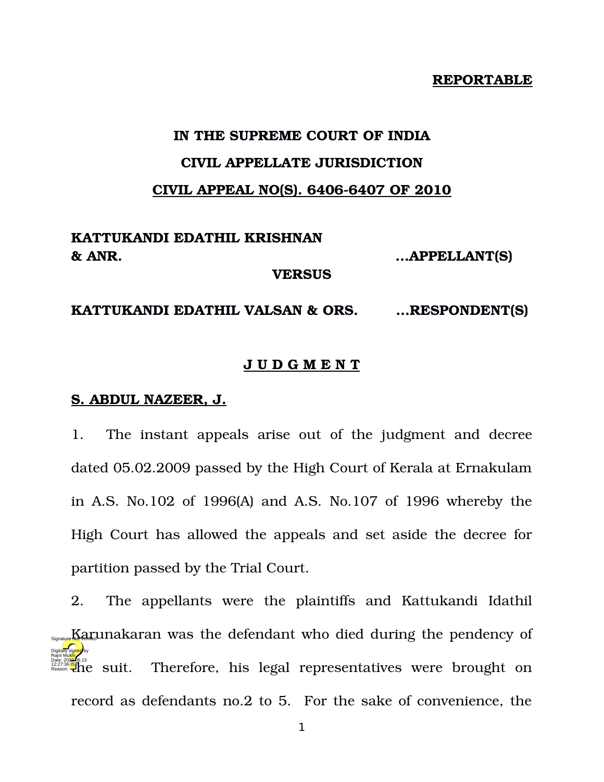#### **REPORTABLE**

# **IN THE SUPREME COURT OF INDIA CIVIL APPELLATE JURISDICTION CIVIL APPEAL NO(S). 6406-6407 OF 2010**

#### **KATTUKANDI EDATHIL KRISHNAN & ANR. …APPELLANT(S)**

**VERSUS**

**KATTUKANDI EDATHIL VALSAN & ORS. …RESPONDENT(S)**

#### **J U D G M E N T**

#### **S. ABDUL NAZEER, J.**

1. The instant appeals arise out of the judgment and decree dated 05.02.2009 passed by the High Court of Kerala at Ernakulam in A.S. No.102 of 1996(A) and A.S. No.107 of 1996 whereby the High Court has allowed the appeals and set aside the decree for partition passed by the Trial Court.

2. The appellants were the plaintiffs and Kattukandi Idathil  $\frac{K_{\text{Squark}}}{K_{\text{Squark}}}$ Therefore, his legal representatives were brought on record as defendants no.2 to 5. For the sake of convenience, the Digitally signed by Rajni Mukhi Date: 2022.06.13<br>12:27:36<mark>IST</mark> Reason: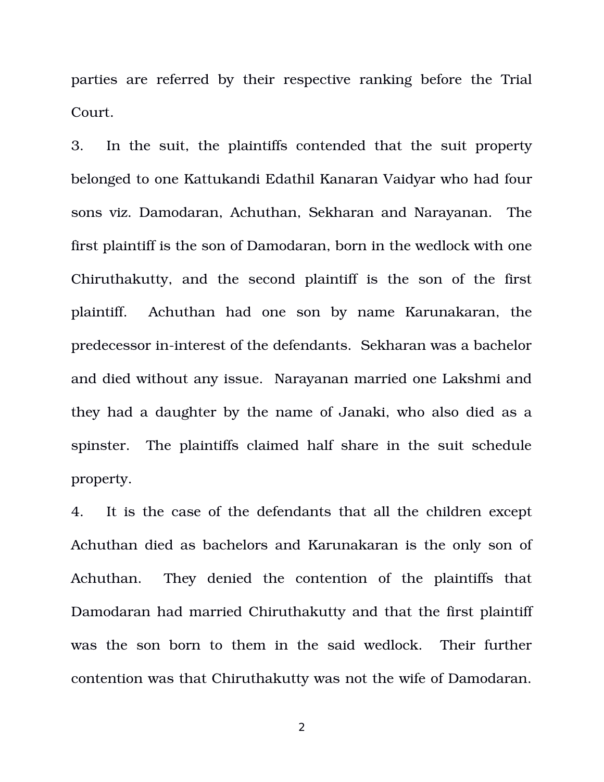parties are referred by their respective ranking before the Trial Court.

3. In the suit, the plaintiffs contended that the suit property belonged to one Kattukandi Edathil Kanaran Vaidyar who had four sons viz. Damodaran, Achuthan, Sekharan and Narayanan. The first plaintiff is the son of Damodaran, born in the wedlock with one Chiruthakutty, and the second plaintiff is the son of the first plaintiff. Achuthan had one son by name Karunakaran, the predecessor in-interest of the defendants. Sekharan was a bachelor and died without any issue. Narayanan married one Lakshmi and they had a daughter by the name of Janaki, who also died as a spinster. The plaintiffs claimed half share in the suit schedule property.

4. It is the case of the defendants that all the children except Achuthan died as bachelors and Karunakaran is the only son of Achuthan. They denied the contention of the plaintiffs that Damodaran had married Chiruthakutty and that the first plaintiff was the son born to them in the said wedlock. Their further contention was that Chiruthakutty was not the wife of Damodaran.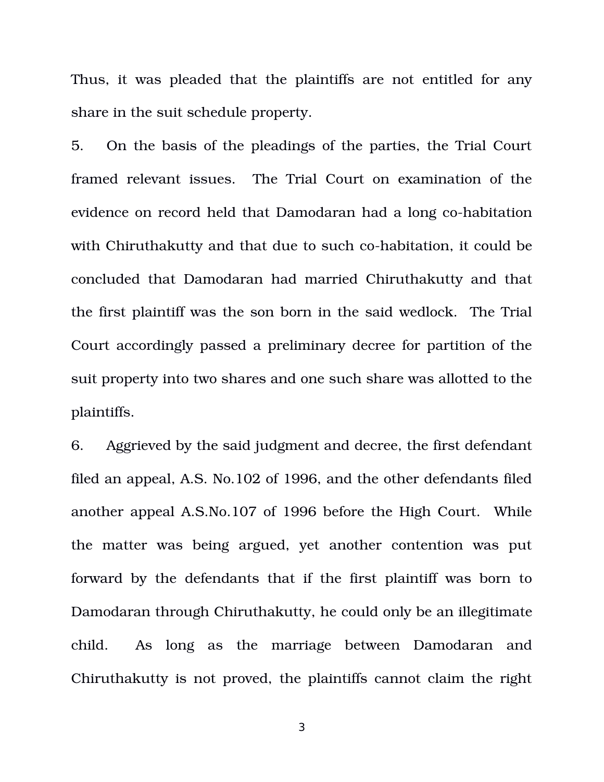Thus, it was pleaded that the plaintiffs are not entitled for any share in the suit schedule property.

5. On the basis of the pleadings of the parties, the Trial Court framed relevant issues. The Trial Court on examination of the evidence on record held that Damodaran had a long co-habitation with Chiruthakutty and that due to such co-habitation, it could be concluded that Damodaran had married Chiruthakutty and that the first plaintiff was the son born in the said wedlock. The Trial Court accordingly passed a preliminary decree for partition of the suit property into two shares and one such share was allotted to the plaintiffs.

6. Aggrieved by the said judgment and decree, the first defendant filed an appeal, A.S. No.102 of 1996, and the other defendants filed another appeal A.S.No.107 of 1996 before the High Court. While the matter was being argued, yet another contention was put forward by the defendants that if the first plaintiff was born to Damodaran through Chiruthakutty, he could only be an illegitimate child. As long as the marriage between Damodaran and Chiruthakutty is not proved, the plaintiffs cannot claim the right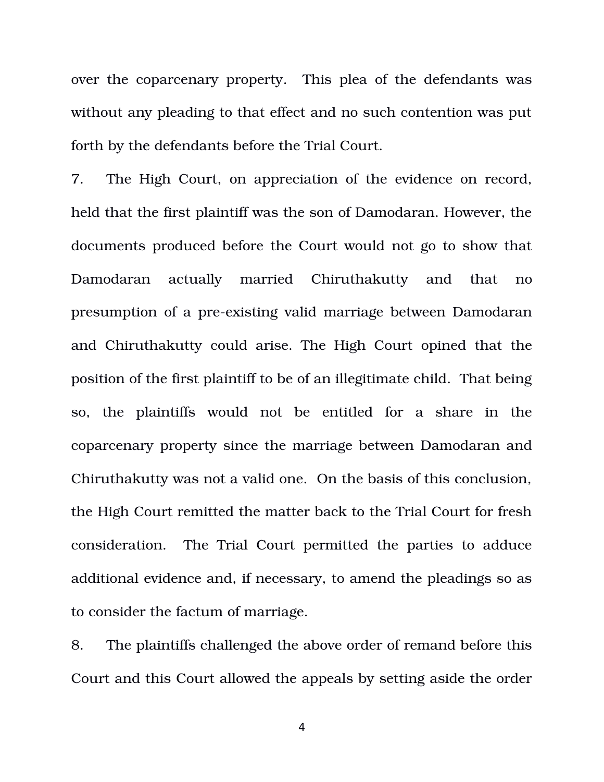over the coparcenary property. This plea of the defendants was without any pleading to that effect and no such contention was put forth by the defendants before the Trial Court.

7. The High Court, on appreciation of the evidence on record, held that the first plaintiff was the son of Damodaran. However, the documents produced before the Court would not go to show that Damodaran actually married Chiruthakutty and that no presumption of a pre-existing valid marriage between Damodaran and Chiruthakutty could arise. The High Court opined that the position of the first plaintiff to be of an illegitimate child. That being so, the plaintiffs would not be entitled for a share in the coparcenary property since the marriage between Damodaran and Chiruthakutty was not a valid one. On the basis of this conclusion, the High Court remitted the matter back to the Trial Court for fresh consideration. The Trial Court permitted the parties to adduce additional evidence and, if necessary, to amend the pleadings so as to consider the factum of marriage.

8. The plaintiffs challenged the above order of remand before this Court and this Court allowed the appeals by setting aside the order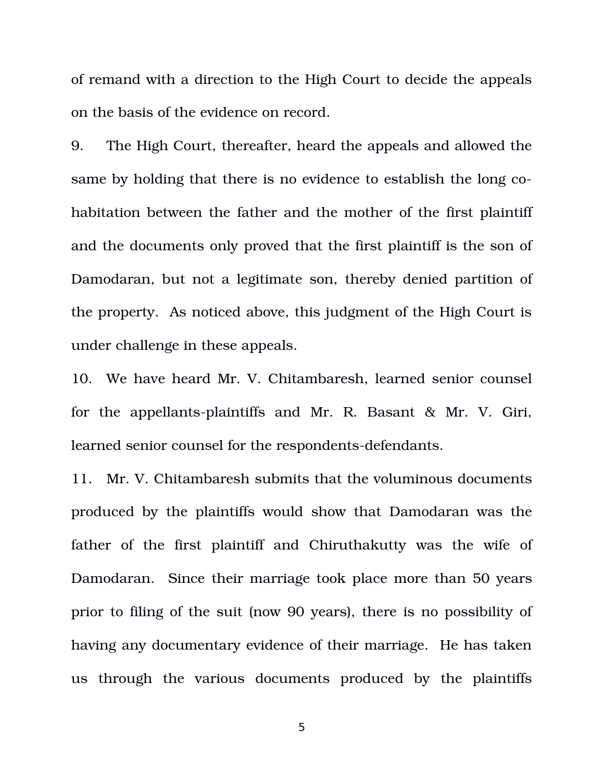of remand with a direction to the High Court to decide the appeals on the basis of the evidence on record.

9. The High Court, thereafter, heard the appeals and allowed the same by holding that there is no evidence to establish the long cohabitation between the father and the mother of the first plaintiff and the documents only proved that the first plaintiff is the son of Damodaran, but not a legitimate son, thereby denied partition of the property. As noticed above, this judgment of the High Court is under challenge in these appeals.

10. We have heard Mr. V. Chitambaresh, learned senior counsel for the appellants-plaintiffs and Mr. R. Basant  $\&$  Mr. V. Giri, learned senior counsel for the respondents-defendants.

11. Mr. V. Chitambaresh submits that the voluminous documents produced by the plaintiffs would show that Damodaran was the father of the first plaintiff and Chiruthakutty was the wife of Damodaran. Since their marriage took place more than 50 years prior to filing of the suit (now 90 years), there is no possibility of having any documentary evidence of their marriage. He has taken us through the various documents produced by the plaintiffs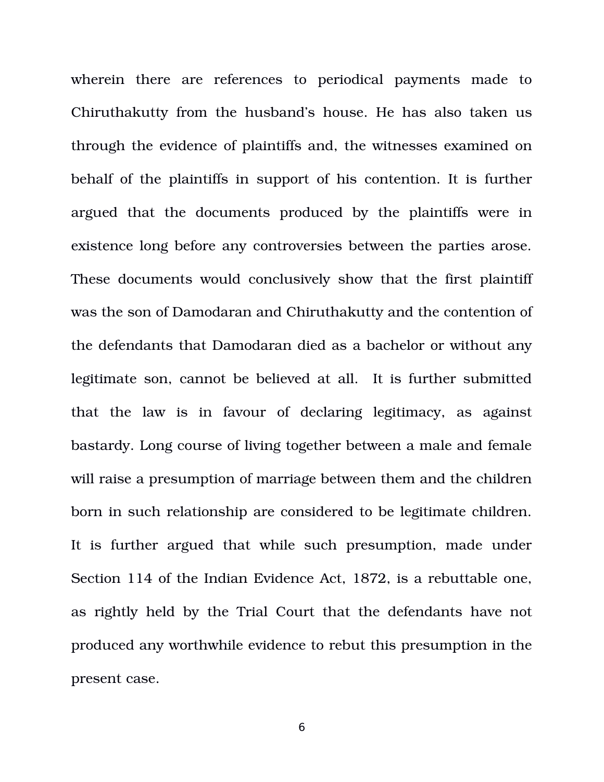wherein there are references to periodical payments made to Chiruthakutty from the husband's house. He has also taken us through the evidence of plaintiffs and, the witnesses examined on behalf of the plaintiffs in support of his contention. It is further argued that the documents produced by the plaintiffs were in existence long before any controversies between the parties arose. These documents would conclusively show that the first plaintiff was the son of Damodaran and Chiruthakutty and the contention of the defendants that Damodaran died as a bachelor or without any legitimate son, cannot be believed at all. It is further submitted that the law is in favour of declaring legitimacy, as against bastardy. Long course of living together between a male and female will raise a presumption of marriage between them and the children born in such relationship are considered to be legitimate children. It is further argued that while such presumption, made under Section 114 of the Indian Evidence Act, 1872, is a rebuttable one, as rightly held by the Trial Court that the defendants have not produced any worthwhile evidence to rebut this presumption in the present case.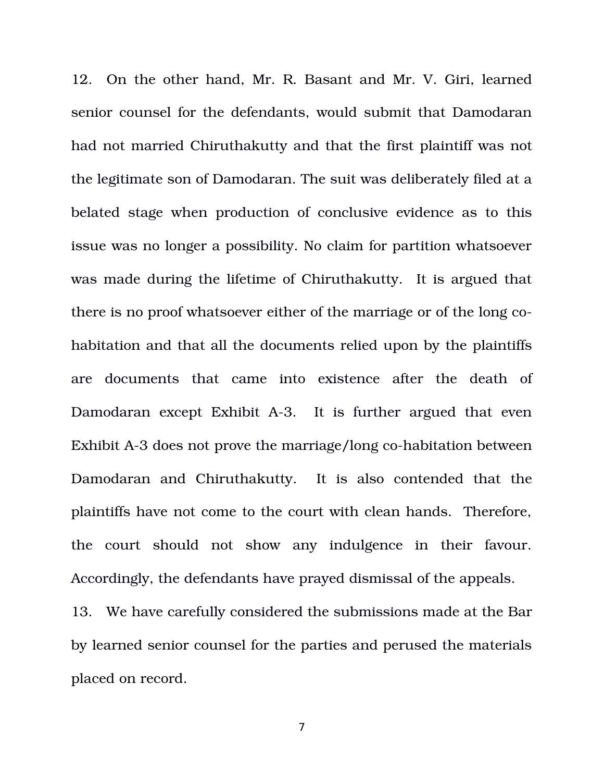12. On the other hand, Mr. R. Basant and Mr. V. Giri, learned senior counsel for the defendants, would submit that Damodaran had not married Chiruthakutty and that the first plaintiff was not the legitimate son of Damodaran. The suit was deliberately filed at a belated stage when production of conclusive evidence as to this issue was no longer a possibility. No claim for partition whatsoever was made during the lifetime of Chiruthakutty. It is argued that there is no proof whatsoever either of the marriage or of the long cohabitation and that all the documents relied upon by the plaintiffs are documents that came into existence after the death of Damodaran except Exhibit A-3. It is further argued that even Exhibit A-3 does not prove the marriage/long co-habitation between Damodaran and Chiruthakutty. It is also contended that the plaintiffs have not come to the court with clean hands. Therefore, the court should not show any indulgence in their favour. Accordingly, the defendants have prayed dismissal of the appeals.

13. We have carefully considered the submissions made at the Bar by learned senior counsel for the parties and perused the materials placed on record.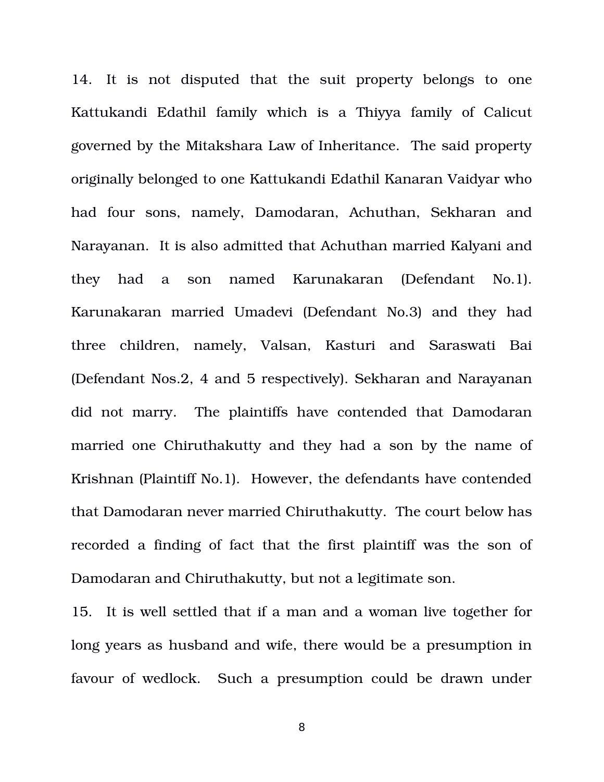14. It is not disputed that the suit property belongs to one Kattukandi Edathil family which is a Thiyya family of Calicut governed by the Mitakshara Law of Inheritance. The said property originally belonged to one Kattukandi Edathil Kanaran Vaidyar who had four sons, namely, Damodaran, Achuthan, Sekharan and Narayanan. It is also admitted that Achuthan married Kalyani and they had a son named Karunakaran (Defendant No.1). Karunakaran married Umadevi (Defendant No.3) and they had three children, namely, Valsan, Kasturi and Saraswati Bai (Defendant Nos.2, 4 and 5 respectively). Sekharan and Narayanan did not marry. The plaintiffs have contended that Damodaran married one Chiruthakutty and they had a son by the name of Krishnan (Plaintiff No.1). However, the defendants have contended that Damodaran never married Chiruthakutty. The court below has recorded a finding of fact that the first plaintiff was the son of Damodaran and Chiruthakutty, but not a legitimate son.

15. It is well settled that if a man and a woman live together for long years as husband and wife, there would be a presumption in favour of wedlock. Such a presumption could be drawn under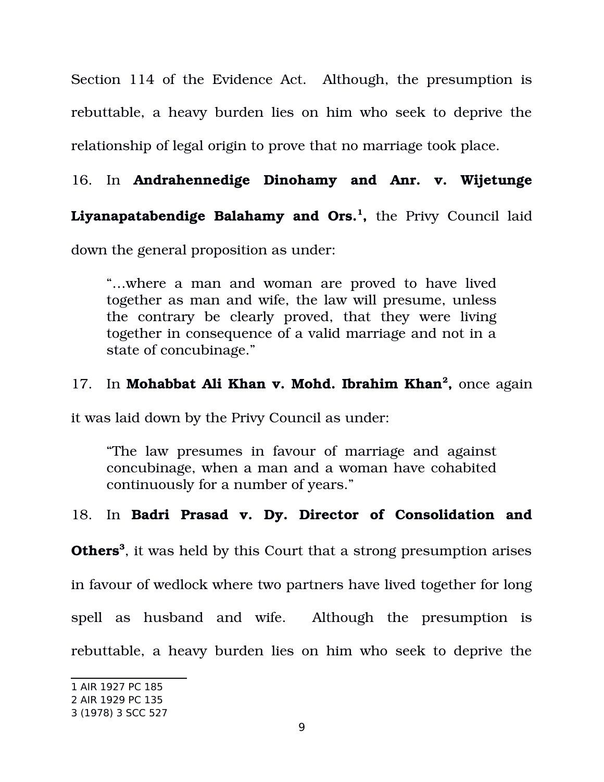Section 114 of the Evidence Act. Although, the presumption is rebuttable, a heavy burden lies on him who seek to deprive the relationship of legal origin to prove that no marriage took place.

## 16. In **Andrahennedige Dinohamy and Anr. v. Wijetunge**

## **Liyanapatabendige Balahamy and Ors.[1](#page-8-0) ,** the Privy Council laid

down the general proposition as under:

"…where a man and woman are proved to have lived together as man and wife, the law will presume, unless the contrary be clearly proved, that they were living together in consequence of a valid marriage and not in a state of concubinage."

### 17. In Mohabbat Ali Khan v. Mohd. Ibrahim Khan<sup>[2](#page-8-1)</sup>, once again

it was laid down by the Privy Council as under:

"The law presumes in favour of marriage and against concubinage, when a man and a woman have cohabited continuously for a number of years."

#### 18. In Badri Prasad v. Dy. Director of Consolidation and

**Others[3](#page-8-2)** , it was held by this Court that a strong presumption arises

in favour of wedlock where two partners have lived together for long

spell as husband and wife. Although the presumption is

rebuttable, a heavy burden lies on him who seek to deprive the

<span id="page-8-0"></span><sup>1</sup> AIR 1927 PC 185

<span id="page-8-1"></span><sup>2</sup> AIR 1929 PC 135

<span id="page-8-2"></span><sup>3</sup> (1978) 3 SCC 527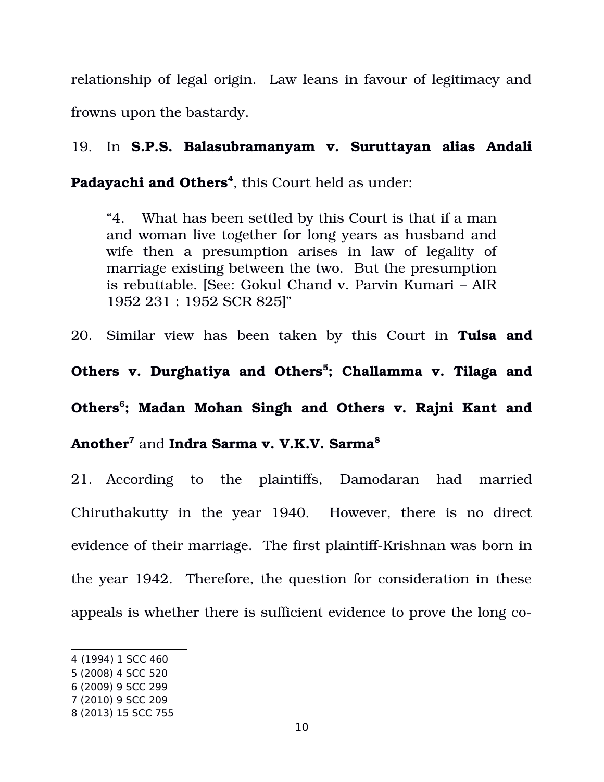relationship of legal origin. Law leans in favour of legitimacy and frowns upon the bastardy.

19. In **S.P.S. Balasubramanyam v. Suruttayan alias Andali**

**Padayachi and Others[4](#page-9-0)** , this Court held as under:

"4. What has been settled by this Court is that if a man and woman live together for long years as husband and wife then a presumption arises in law of legality of marriage existing between the two. But the presumption is rebuttable. [See: Gokul Chand v. Parvin Kumari – AIR 1952 231 : 1952 SCR 825]"

20. Similar view has been taken by this Court in **Tulsa and**

**Others v. Durghatiya and Others[5](#page-9-1) ; Challamma v. Tilaga and Others[6](#page-9-2) ; Madan Mohan Singh and Others v. Rajni Kant and Another[7](#page-9-3)** and **Indra Sarma v. V.K.V. Sarma[8](#page-9-4)**

21. According to the plaintiffs, Damodaran had married Chiruthakutty in the year 1940. However, there is no direct evidence of their marriage. The first plaintiff-Krishnan was born in the year 1942. Therefore, the question for consideration in these appeals is whether there is sufficient evidence to prove the long co-

<span id="page-9-0"></span><sup>4</sup> (1994) 1 SCC 460

<span id="page-9-1"></span><sup>5</sup> (2008) 4 SCC 520

<span id="page-9-2"></span><sup>6</sup> (2009) 9 SCC 299

<span id="page-9-3"></span><sup>7</sup> (2010) 9 SCC 209

<span id="page-9-4"></span><sup>8</sup> (2013) 15 SCC 755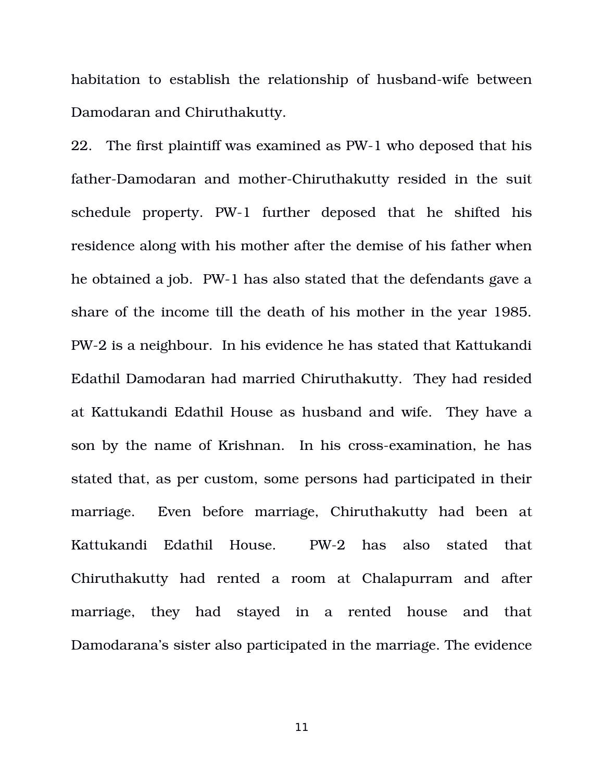habitation to establish the relationship of husband-wife between Damodaran and Chiruthakutty.

22. The first plaintiff was examined as PW-1 who deposed that his father-Damodaran and mother-Chiruthakutty resided in the suit schedule property. PW-1 further deposed that he shifted his residence along with his mother after the demise of his father when he obtained a job. PW-1 has also stated that the defendants gave a share of the income till the death of his mother in the year 1985. PW2 is a neighbour. In his evidence he has stated that Kattukandi Edathil Damodaran had married Chiruthakutty. They had resided at Kattukandi Edathil House as husband and wife. They have a son by the name of Krishnan. In his cross-examination, he has stated that, as per custom, some persons had participated in their marriage. Even before marriage, Chiruthakutty had been at Kattukandi Edathil House. PW2 has also stated that Chiruthakutty had rented a room at Chalapurram and after marriage, they had stayed in a rented house and that Damodarana's sister also participated in the marriage. The evidence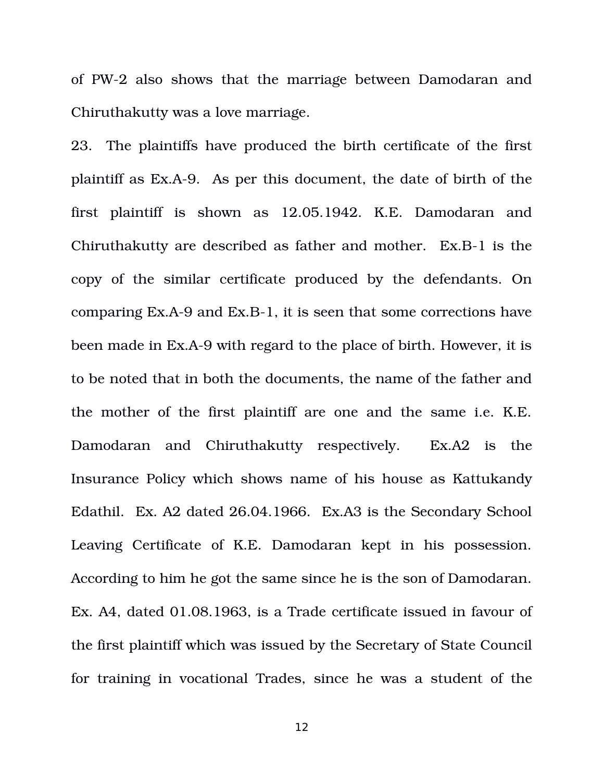of PW2 also shows that the marriage between Damodaran and Chiruthakutty was a love marriage.

23. The plaintiffs have produced the birth certificate of the first plaintiff as Ex.A9. As per this document, the date of birth of the first plaintiff is shown as 12.05.1942. K.E. Damodaran and Chiruthakutty are described as father and mother. Ex.B-1 is the copy of the similar certificate produced by the defendants. On comparing Ex.A-9 and Ex.B-1, it is seen that some corrections have been made in Ex.A-9 with regard to the place of birth. However, it is to be noted that in both the documents, the name of the father and the mother of the first plaintiff are one and the same i.e. K.E. Damodaran and Chiruthakutty respectively. Ex.A2 is the Insurance Policy which shows name of his house as Kattukandy Edathil. Ex. A2 dated 26.04.1966. Ex.A3 is the Secondary School Leaving Certificate of K.E. Damodaran kept in his possession. According to him he got the same since he is the son of Damodaran. Ex. A4, dated 01.08.1963, is a Trade certificate issued in favour of the first plaintiff which was issued by the Secretary of State Council for training in vocational Trades, since he was a student of the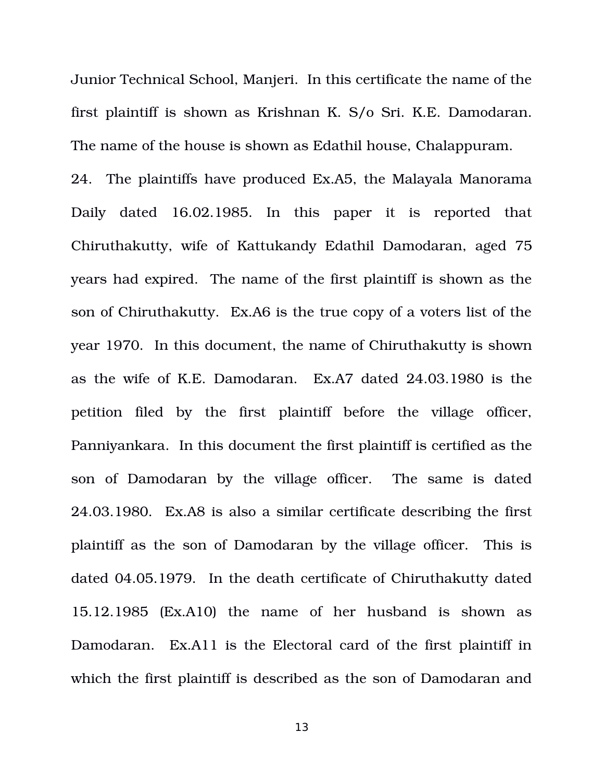Junior Technical School, Manjeri. In this certificate the name of the first plaintiff is shown as Krishnan K. S/o Sri. K.E. Damodaran. The name of the house is shown as Edathil house, Chalappuram.

24. The plaintiffs have produced Ex.A5, the Malayala Manorama Daily dated 16.02.1985. In this paper it is reported that Chiruthakutty, wife of Kattukandy Edathil Damodaran, aged 75 years had expired. The name of the first plaintiff is shown as the son of Chiruthakutty. Ex.A6 is the true copy of a voters list of the year 1970. In this document, the name of Chiruthakutty is shown as the wife of K.E. Damodaran. Ex.A7 dated 24.03.1980 is the petition filed by the first plaintiff before the village officer, Panniyankara. In this document the first plaintiff is certified as the son of Damodaran by the village officer. The same is dated 24.03.1980. Ex.A8 is also a similar certificate describing the first plaintiff as the son of Damodaran by the village officer. This is dated 04.05.1979. In the death certificate of Chiruthakutty dated  $15.12.1985$  (Ex.A10) the name of her husband is shown as Damodaran. Ex.A11 is the Electoral card of the first plaintiff in which the first plaintiff is described as the son of Damodaran and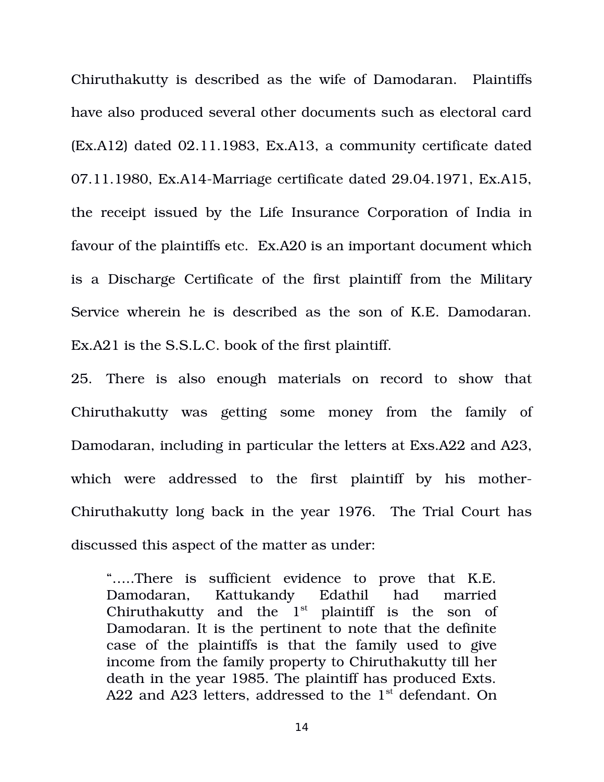Chiruthakutty is described as the wife of Damodaran. Plaintiffs have also produced several other documents such as electoral card (Ex.A12) dated 02.11.1983, Ex.A13, a community certificate dated 07.11.1980, Ex.A14-Marriage certificate dated 29.04.1971, Ex.A15, the receipt issued by the Life Insurance Corporation of India in favour of the plaintiffs etc. Ex.A20 is an important document which is a Discharge Certificate of the first plaintiff from the Military Service wherein he is described as the son of K.E. Damodaran. Ex.A21 is the S.S.L.C. book of the first plaintiff.

25. There is also enough materials on record to show that Chiruthakutty was getting some money from the family of Damodaran, including in particular the letters at Exs.A22 and A23, which were addressed to the first plaintiff by his mother-Chiruthakutty long back in the year 1976. The Trial Court has discussed this aspect of the matter as under:

".....There is sufficient evidence to prove that K.E. Damodaran, Kattukandy Edathil had married Chiruthakutty and the  $1<sup>st</sup>$  plaintiff is the son of Damodaran. It is the pertinent to note that the definite case of the plaintiffs is that the family used to give income from the family property to Chiruthakutty till her death in the year 1985. The plaintiff has produced Exts. A22 and A23 letters, addressed to the  $1<sup>st</sup>$  defendant. On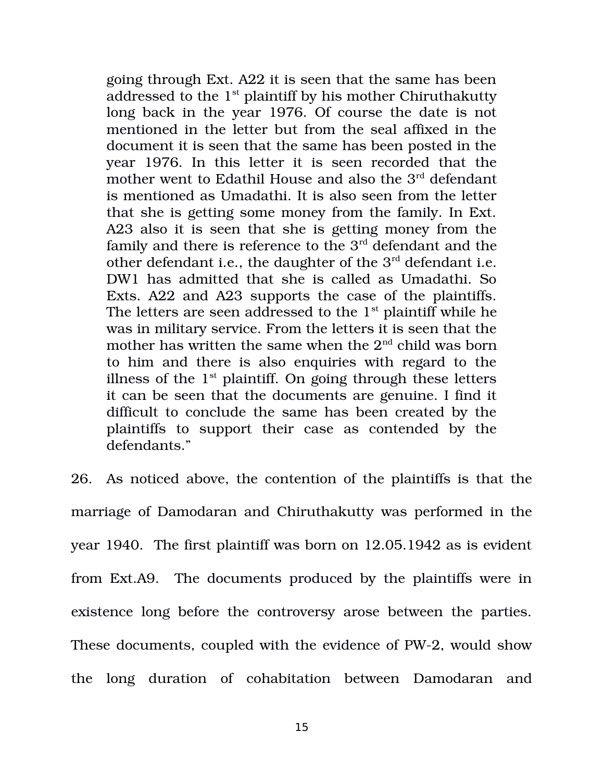going through Ext. A22 it is seen that the same has been addressed to the  $1<sup>st</sup>$  plaintiff by his mother Chiruthakutty long back in the year 1976. Of course the date is not mentioned in the letter but from the seal affixed in the document it is seen that the same has been posted in the year 1976. In this letter it is seen recorded that the mother went to Edathil House and also the 3<sup>rd</sup> defendant is mentioned as Umadathi. It is also seen from the letter that she is getting some money from the family. In Ext. A23 also it is seen that she is getting money from the family and there is reference to the  $3<sup>rd</sup>$  defendant and the other defendant i.e., the daughter of the 3<sup>rd</sup> defendant i.e. DW1 has admitted that she is called as Umadathi. So Exts. A22 and A23 supports the case of the plaintiffs. The letters are seen addressed to the  $1<sup>st</sup>$  plaintiff while he was in military service. From the letters it is seen that the mother has written the same when the  $2<sup>nd</sup>$  child was born to him and there is also enquiries with regard to the illness of the  $1<sup>st</sup>$  plaintiff. On going through these letters it can be seen that the documents are genuine. I find it difficult to conclude the same has been created by the plaintiffs to support their case as contended by the defendants."

26. As noticed above, the contention of the plaintiffs is that the marriage of Damodaran and Chiruthakutty was performed in the year 1940. The first plaintiff was born on 12.05.1942 as is evident from Ext.A9. The documents produced by the plaintiffs were in existence long before the controversy arose between the parties. These documents, coupled with the evidence of PW-2, would show the long duration of cohabitation between Damodaran and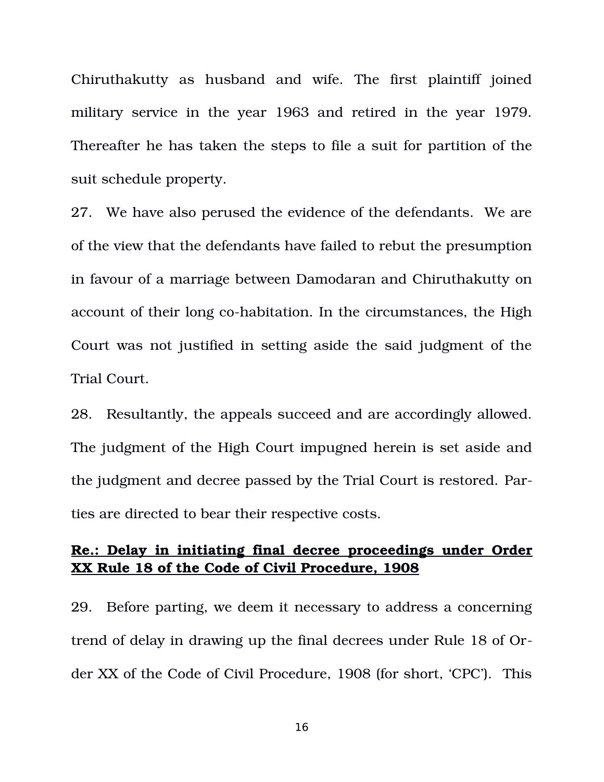Chiruthakutty as husband and wife. The first plaintiff joined military service in the year 1963 and retired in the year 1979. Thereafter he has taken the steps to file a suit for partition of the suit schedule property.

27. We have also perused the evidence of the defendants. We are of the view that the defendants have failed to rebut the presumption in favour of a marriage between Damodaran and Chiruthakutty on account of their long co-habitation. In the circumstances, the High Court was not justified in setting aside the said judgment of the Trial Court.

28. Resultantly, the appeals succeed and are accordingly allowed. The judgment of the High Court impugned herein is set aside and the judgment and decree passed by the Trial Court is restored. Parties are directed to bear their respective costs.

#### **Re.: Delay in initiating final decree proceedings under Order XX Rule 18 of the Code of Civil Procedure, 1908**

29. Before parting, we deem it necessary to address a concerning trend of delay in drawing up the final decrees under Rule 18 of Order XX of the Code of Civil Procedure, 1908 (for short, 'CPC'). This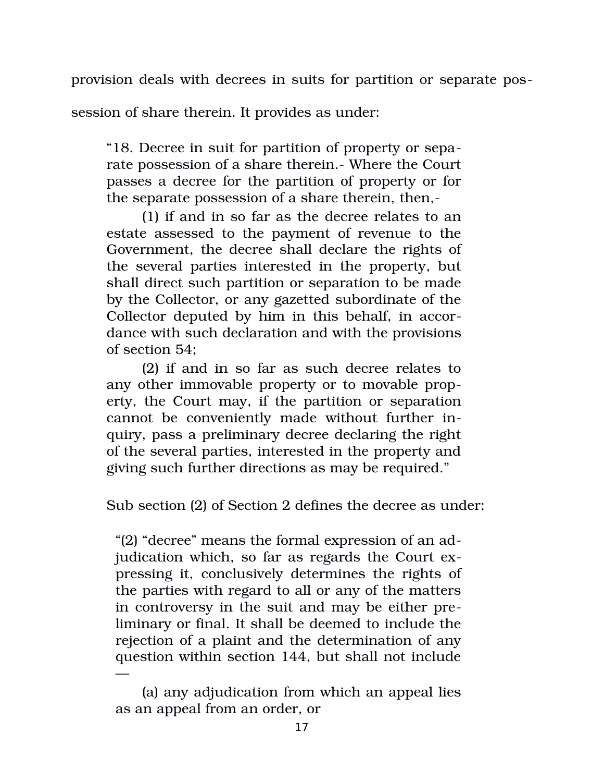provision deals with decrees in suits for partition or separate pos-

session of share therein. It provides as under:

"18. Decree in suit for partition of property or separate possession of a share therein. Where the Court passes a decree for the partition of property or for the separate possession of a share therein, then,

(1) if and in so far as the decree relates to an estate assessed to the payment of revenue to the Government, the decree shall declare the rights of the several parties interested in the property, but shall direct such partition or separation to be made by the Collector, or any gazetted subordinate of the Collector deputed by him in this behalf, in accordance with such declaration and with the provisions of section 54;

(2) if and in so far as such decree relates to any other immovable property or to movable property, the Court may, if the partition or separation cannot be conveniently made without further inquiry, pass a preliminary decree declaring the right of the several parties, interested in the property and giving such further directions as may be required."

Sub section (2) of Section 2 defines the decree as under:

"(2) "decree" means the formal expression of an adjudication which, so far as regards the Court expressing it, conclusively determines the rights of the parties with regard to all or any of the matters in controversy in the suit and may be either preliminary or final. It shall be deemed to include the rejection of a plaint and the determination of any question within section 144, but shall not include —

<sup>(</sup>a) any adjudication from which an appeal lies as an appeal from an order, or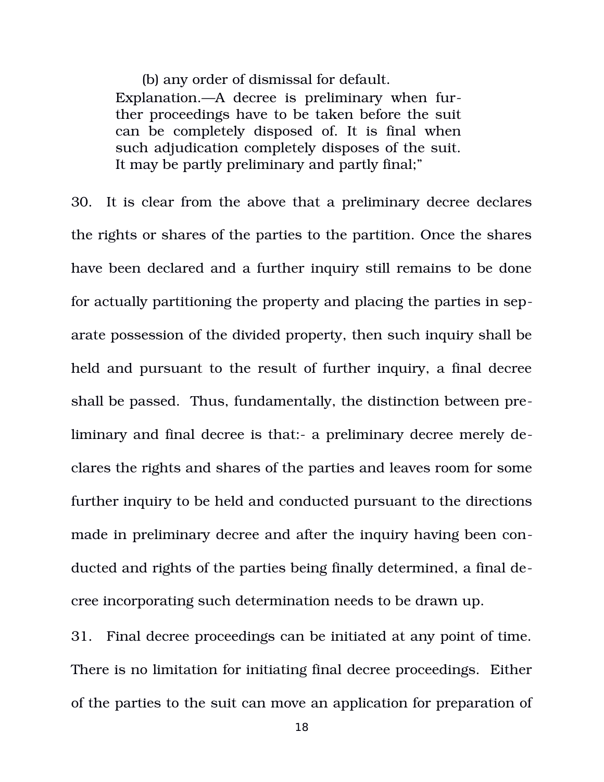(b) any order of dismissal for default.

Explanation.—A decree is preliminary when further proceedings have to be taken before the suit can be completely disposed of. It is final when such adjudication completely disposes of the suit. It may be partly preliminary and partly final;"

30. It is clear from the above that a preliminary decree declares the rights or shares of the parties to the partition. Once the shares have been declared and a further inquiry still remains to be done for actually partitioning the property and placing the parties in separate possession of the divided property, then such inquiry shall be held and pursuant to the result of further inquiry, a final decree shall be passed. Thus, fundamentally, the distinction between preliminary and final decree is that:- a preliminary decree merely declares the rights and shares of the parties and leaves room for some further inquiry to be held and conducted pursuant to the directions made in preliminary decree and after the inquiry having been conducted and rights of the parties being finally determined, a final decree incorporating such determination needs to be drawn up.

31. Final decree proceedings can be initiated at any point of time. There is no limitation for initiating final decree proceedings. Either of the parties to the suit can move an application for preparation of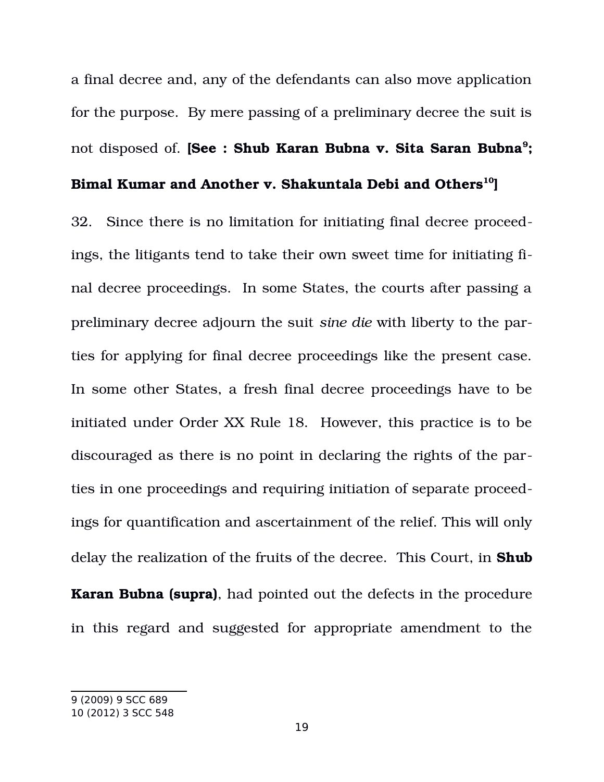a final decree and, any of the defendants can also move application for the purpose. By mere passing of a preliminary decree the suit is not disposed of. **[See : Shub Karan Bubna v. Sita Saran Bubna[9](#page-18-0) ;**

#### **Bimal Kumar and Another v. Shakuntala Debi and Others[10](#page-18-1)]**

32. Since there is no limitation for initiating final decree proceedings, the litigants tend to take their own sweet time for initiating final decree proceedings. In some States, the courts after passing a preliminary decree adjourn the suit *sine die* with liberty to the parties for applying for final decree proceedings like the present case. In some other States, a fresh final decree proceedings have to be initiated under Order XX Rule 18. However, this practice is to be discouraged as there is no point in declaring the rights of the parties in one proceedings and requiring initiation of separate proceedings for quantification and ascertainment of the relief. This will only delay the realization of the fruits of the decree. This Court, in **Shub Karan Bubna (supra)**, had pointed out the defects in the procedure in this regard and suggested for appropriate amendment to the

<span id="page-18-1"></span><span id="page-18-0"></span><sup>9</sup> (2009) 9 SCC 689 10 (2012) 3 SCC 548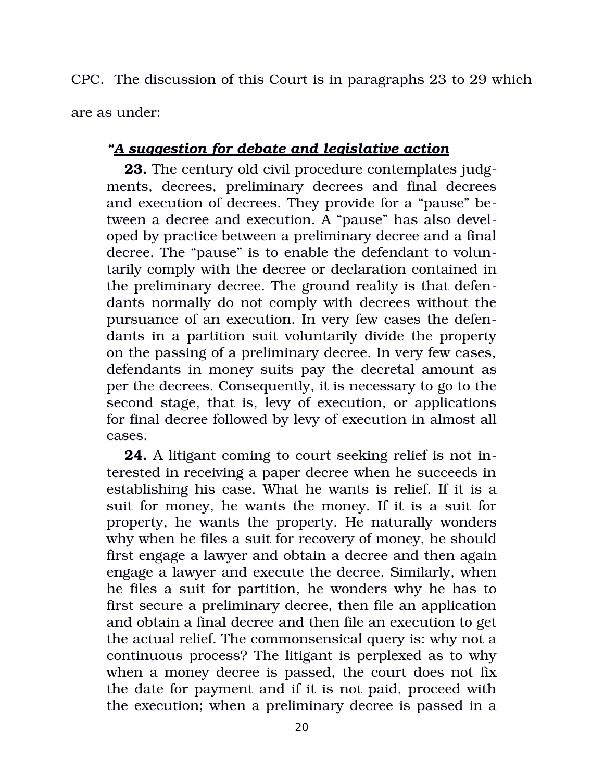CPC. The discussion of this Court is in paragraphs 23 to 29 which are as under:

# *"A suggestion for debate and legislative action*

**23.** The century old civil procedure contemplates judgments, decrees, preliminary decrees and final decrees and execution of decrees. They provide for a "pause" between a decree and execution. A "pause" has also developed by practice between a preliminary decree and a final decree. The "pause" is to enable the defendant to voluntarily comply with the decree or declaration contained in the preliminary decree. The ground reality is that defendants normally do not comply with decrees without the pursuance of an execution. In very few cases the defendants in a partition suit voluntarily divide the property on the passing of a preliminary decree. In very few cases, defendants in money suits pay the decretal amount as per the decrees. Consequently, it is necessary to go to the second stage, that is, levy of execution, or applications for final decree followed by levy of execution in almost all cases.

**24.** A litigant coming to court seeking relief is not interested in receiving a paper decree when he succeeds in establishing his case. What he wants is relief. If it is a suit for money, he wants the money. If it is a suit for property, he wants the property. He naturally wonders why when he files a suit for recovery of money, he should first engage a lawyer and obtain a decree and then again engage a lawyer and execute the decree. Similarly, when he files a suit for partition, he wonders why he has to first secure a preliminary decree, then file an application and obtain a final decree and then file an execution to get the actual relief. The commonsensical query is: why not a continuous process? The litigant is perplexed as to why when a money decree is passed, the court does not fix the date for payment and if it is not paid, proceed with the execution; when a preliminary decree is passed in a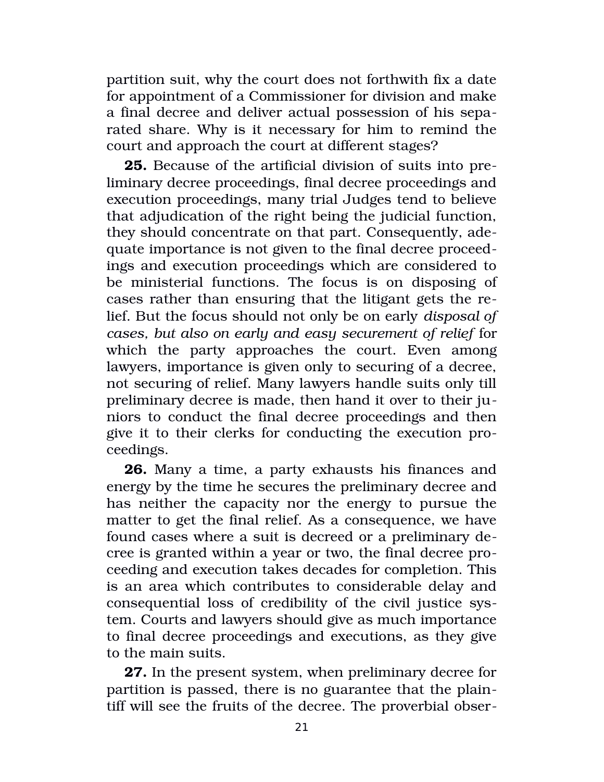partition suit, why the court does not forthwith fix a date for appointment of a Commissioner for division and make a final decree and deliver actual possession of his separated share. Why is it necessary for him to remind the court and approach the court at different stages?

**25.** Because of the artificial division of suits into preliminary decree proceedings, final decree proceedings and execution proceedings, many trial Judges tend to believe that adjudication of the right being the judicial function, they should concentrate on that part. Consequently, adequate importance is not given to the final decree proceedings and execution proceedings which are considered to be ministerial functions. The focus is on disposing of cases rather than ensuring that the litigant gets the relief. But the focus should not only be on early *disposal of cases, but also on early and easy securement of relief* for which the party approaches the court. Even among lawyers, importance is given only to securing of a decree, not securing of relief. Many lawyers handle suits only till preliminary decree is made, then hand it over to their juniors to conduct the final decree proceedings and then give it to their clerks for conducting the execution proceedings.

**26.** Many a time, a party exhausts his finances and energy by the time he secures the preliminary decree and has neither the capacity nor the energy to pursue the matter to get the final relief. As a consequence, we have found cases where a suit is decreed or a preliminary decree is granted within a year or two, the final decree proceeding and execution takes decades for completion. This is an area which contributes to considerable delay and consequential loss of credibility of the civil justice system. Courts and lawyers should give as much importance to final decree proceedings and executions, as they give to the main suits.

**27.** In the present system, when preliminary decree for partition is passed, there is no guarantee that the plaintiff will see the fruits of the decree. The proverbial obser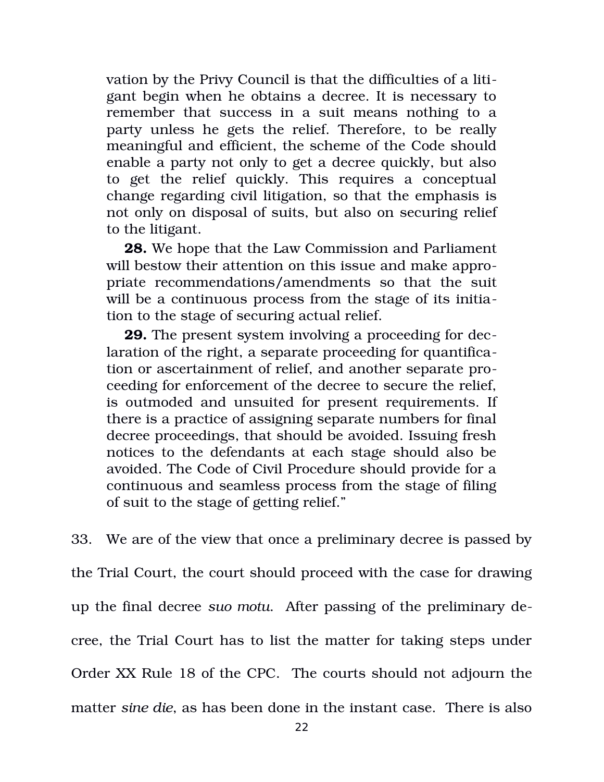vation by the Privy Council is that the difficulties of a litigant begin when he obtains a decree. It is necessary to remember that success in a suit means nothing to a party unless he gets the relief. Therefore, to be really meaningful and efficient, the scheme of the Code should enable a party not only to get a decree quickly, but also to get the relief quickly. This requires a conceptual change regarding civil litigation, so that the emphasis is not only on disposal of suits, but also on securing relief to the litigant.

**28.** We hope that the Law Commission and Parliament will bestow their attention on this issue and make appropriate recommendations/amendments so that the suit will be a continuous process from the stage of its initiation to the stage of securing actual relief.

**29.** The present system involving a proceeding for declaration of the right, a separate proceeding for quantification or ascertainment of relief, and another separate proceeding for enforcement of the decree to secure the relief, is outmoded and unsuited for present requirements. If there is a practice of assigning separate numbers for final decree proceedings, that should be avoided. Issuing fresh notices to the defendants at each stage should also be avoided. The Code of Civil Procedure should provide for a continuous and seamless process from the stage of filing of suit to the stage of getting relief."

33. We are of the view that once a preliminary decree is passed by the Trial Court, the court should proceed with the case for drawing up the final decree *suo motu*. After passing of the preliminary decree, the Trial Court has to list the matter for taking steps under Order XX Rule 18 of the CPC. The courts should not adjourn the matter *sine die*, as has been done in the instant case. There is also